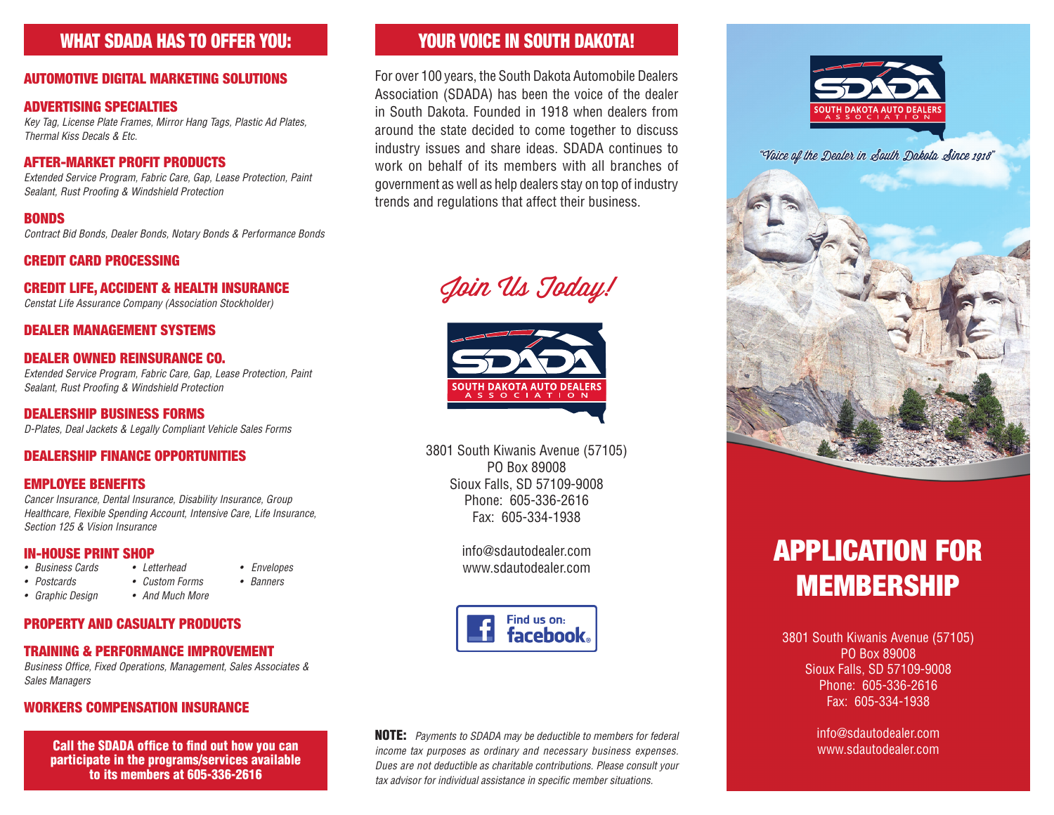# WHAT SDADA HAS TO OFFER YOU:

#### AUTOMOTIVE DIGITAL MARKETING SOLUTIONS

#### ADVERTISING SPECIALTIES

*Key Tag, License Plate Frames, Mirror Hang Tags, Plastic Ad Plates, Thermal Kiss Decals & Etc.*

#### AFTER-MARKET PROFIT PRODUCTS

*Extended Service Program, Fabric Care, Gap, Lease Protection, Paint Sealant, Rust Proofing & Windshield Protection*

#### BONDS

*Contract Bid Bonds, Dealer Bonds, Notary Bonds & Performance Bonds*

#### CREDIT CARD PROCESSING

#### CREDIT LIFE, ACCIDENT & HEALTH INSURANCE

*Censtat Life Assurance Company (Association Stockholder)*

#### DEALER MANAGEMENT SYSTEMS

#### DEALER OWNED REINSURANCE CO.

*Extended Service Program, Fabric Care, Gap, Lease Protection, Paint Sealant, Rust Proofing & Windshield Protection*

#### DEALERSHIP BUSINESS FORMS *D-Plates, Deal Jackets & Legally Compliant Vehicle Sales Forms*

#### DEALERSHIP FINANCE OPPORTUNITIES

#### EMPLOYEE BENEFITS

*Cancer Insurance, Dental Insurance, Disability Insurance, Group Healthcare, Flexible Spending Account, Intensive Care, Life Insurance, Section 125 & Vision Insurance*

# **IN-HOUSE PRINT SHOP**<br>• Business Cards • Letterhead

- *Business Cards • Letterhead Envelopes*
- *• Postcards • Custom Forms • Banners*
- *• Graphic Design • And Much More*

#### PROPERTY AND CASUALTY PRODUCTS

#### TRAINING & PERFORMANCE IMPROVEMENT

*Business Office, Fixed Operations, Management, Sales Associates & Sales Managers*

#### WORKERS COMPENSATION INSURANCE

Call the SDADA office to find out how you can participate in the programs/services available to its members at 605-336-2616

# YOUR VOICE IN SOUTH DAKOTA!

For over 100 years, the South Dakota Automobile Dealers Association (SDADA) has been the voice of the dealer in South Dakota. Founded in 1918 when dealers from around the state decided to come together to discuss industry issues and share ideas. SDADA continues to work on behalf of its members with all branches of government as well as help dealers stay on top of industry trends and regulations that affect their business.

Join Us Today!



3801 South Kiwanis Avenue (57105) PO Box 89008 Sioux Falls, SD 57109-9008 Phone: 605-336-2616 Fax: 605-334-1938

> info@sdautodealer.com www.sdautodealer.com



NOTE: *Payments to SDADA may be deductible to members for federal income tax purposes as ordinary and necessary business expenses. Dues are not deductible as charitable contributions. Please consult your tax advisor for individual assistance in specific member situations.*



"Voice of the Dealer in South Dakota Since 1918"



# APPLICATION FOR MEMBERSHIP

3801 South Kiwanis Avenue (57105) PO Box 89008 Sioux Falls, SD 57109-9008 Phone: 605-336-2616 Fax: 605-334-1938

> info@sdautodealer.com www.sdautodealer.com